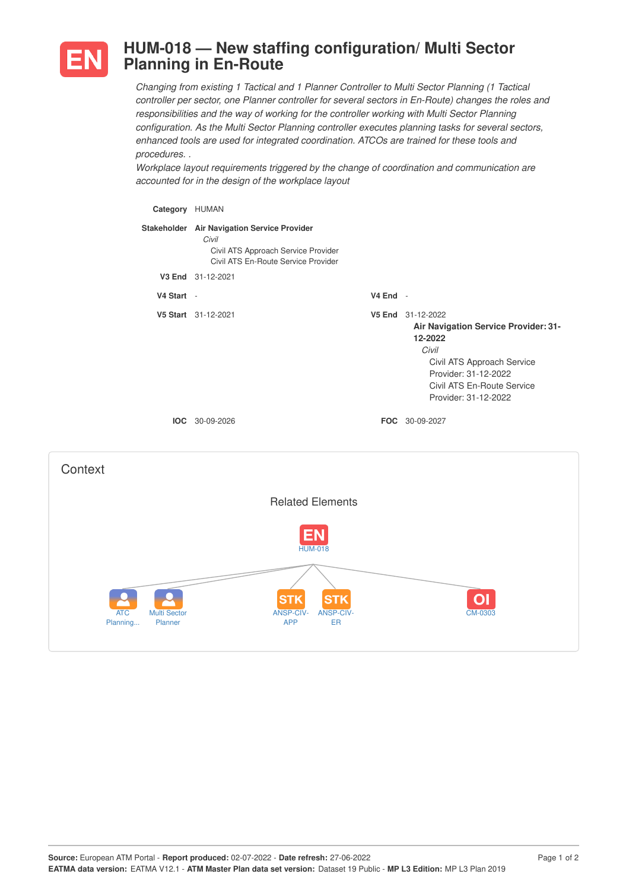

## **HUM-018 — New staffing configuration/ Multi Sector Planning in En-Route**

*Changing from existing 1 Tactical and 1 Planner Controller to Multi Sector Planning (1 Tactical controller per sector, one Planner controller for several sectors in En-Route) changes the roles and responsibilities and the way of working for the controller working with Multi Sector Planning configuration. As the Multi Sector Planning controller executes planning tasks for several sectors, enhanced tools are used for integrated coordination. ATCOs are trained for these tools and procedures. .*

*Workplace layout requirements triggered by the change of coordination and communication are accounted for in the design of the workplace layout*

| Category HUMAN                                           |                                                                                                                                    |            |                                                                                                                                                                                           |
|----------------------------------------------------------|------------------------------------------------------------------------------------------------------------------------------------|------------|-------------------------------------------------------------------------------------------------------------------------------------------------------------------------------------------|
|                                                          | Stakeholder Air Navigation Service Provider<br>Civil<br>Civil ATS Approach Service Provider<br>Civil ATS En-Route Service Provider |            |                                                                                                                                                                                           |
|                                                          | V3 End 31-12-2021                                                                                                                  |            |                                                                                                                                                                                           |
| V4 Start -                                               |                                                                                                                                    | $V4$ End - |                                                                                                                                                                                           |
|                                                          | V5 Start 31-12-2021                                                                                                                |            | V5 End 31-12-2022<br>Air Navigation Service Provider: 31-<br>12-2022<br>Civil<br>Civil ATS Approach Service<br>Provider: 31-12-2022<br>Civil ATS En-Route Service<br>Provider: 31-12-2022 |
|                                                          | IOC 30-09-2026                                                                                                                     |            | FOC 30-09-2027                                                                                                                                                                            |
| Context                                                  |                                                                                                                                    |            |                                                                                                                                                                                           |
|                                                          | <b>Related Elements</b>                                                                                                            |            |                                                                                                                                                                                           |
|                                                          | <b>HUM-018</b>                                                                                                                     |            |                                                                                                                                                                                           |
| <b>ATC</b><br><b>Multi Sector</b><br>Planner<br>Planning | STł<br>STK<br><b>ANSP-CIV-</b><br><b>ANSP-CIV-</b><br><b>APP</b><br><b>ER</b>                                                      |            | CM-0303                                                                                                                                                                                   |